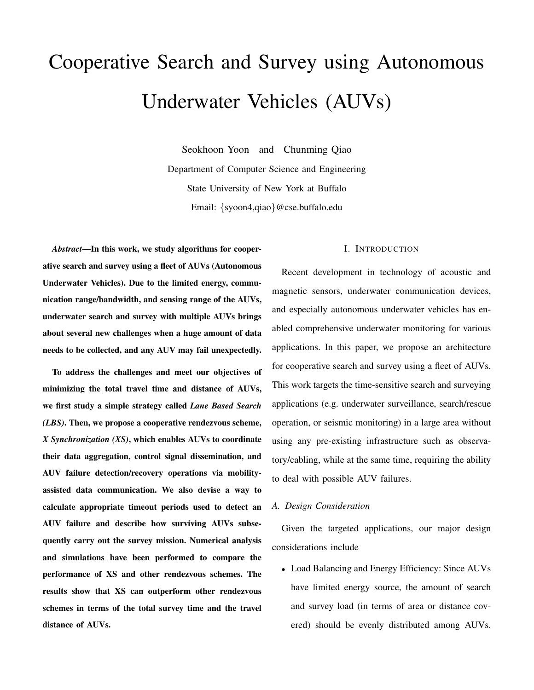# Cooperative Search and Survey using Autonomous Underwater Vehicles (AUVs)

Seokhoon Yoon and Chunming Qiao Department of Computer Science and Engineering State University of New York at Buffalo Email: {syoon4,qiao}@cse.buffalo.edu

*Abstract*—In this work, we study algorithms for cooperative search and survey using a fleet of AUVs (Autonomous Underwater Vehicles). Due to the limited energy, communication range/bandwidth, and sensing range of the AUVs, underwater search and survey with multiple AUVs brings about several new challenges when a huge amount of data needs to be collected, and any AUV may fail unexpectedly.

To address the challenges and meet our objectives of minimizing the total travel time and distance of AUVs, we first study a simple strategy called *Lane Based Search (LBS)*. Then, we propose a cooperative rendezvous scheme, *X Synchronization (XS)*, which enables AUVs to coordinate their data aggregation, control signal dissemination, and AUV failure detection/recovery operations via mobilityassisted data communication. We also devise a way to calculate appropriate timeout periods used to detect an AUV failure and describe how surviving AUVs subsequently carry out the survey mission. Numerical analysis and simulations have been performed to compare the performance of XS and other rendezvous schemes. The results show that XS can outperform other rendezvous schemes in terms of the total survey time and the travel distance of AUVs.

## I. INTRODUCTION

Recent development in technology of acoustic and magnetic sensors, underwater communication devices, and especially autonomous underwater vehicles has enabled comprehensive underwater monitoring for various applications. In this paper, we propose an architecture for cooperative search and survey using a fleet of AUVs. This work targets the time-sensitive search and surveying applications (e.g. underwater surveillance, search/rescue operation, or seismic monitoring) in a large area without using any pre-existing infrastructure such as observatory/cabling, while at the same time, requiring the ability to deal with possible AUV failures.

#### *A. Design Consideration*

Given the targeted applications, our major design considerations include

• Load Balancing and Energy Efficiency: Since AUVs have limited energy source, the amount of search and survey load (in terms of area or distance covered) should be evenly distributed among AUVs.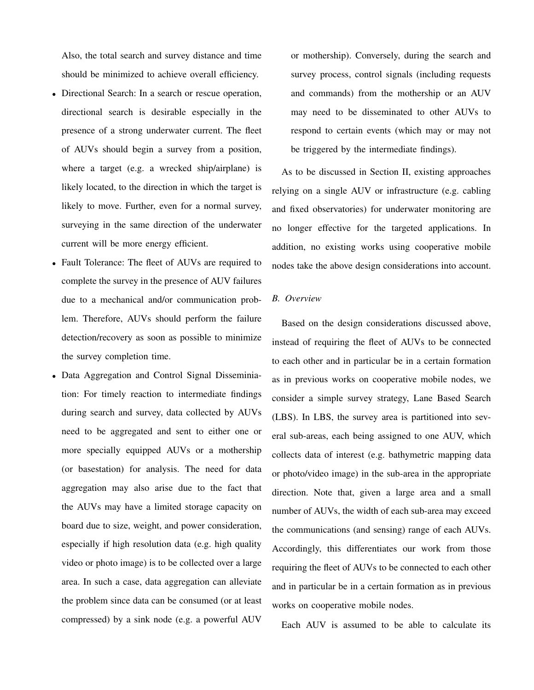Also, the total search and survey distance and time should be minimized to achieve overall efficiency.

- Directional Search: In a search or rescue operation, directional search is desirable especially in the presence of a strong underwater current. The fleet of AUVs should begin a survey from a position, where a target (e.g. a wrecked ship/airplane) is likely located, to the direction in which the target is likely to move. Further, even for a normal survey, surveying in the same direction of the underwater current will be more energy efficient.
- Fault Tolerance: The fleet of AUVs are required to complete the survey in the presence of AUV failures due to a mechanical and/or communication problem. Therefore, AUVs should perform the failure detection/recovery as soon as possible to minimize the survey completion time.
- Data Aggregation and Control Signal Disseminiation: For timely reaction to intermediate findings during search and survey, data collected by AUVs need to be aggregated and sent to either one or more specially equipped AUVs or a mothership (or basestation) for analysis. The need for data aggregation may also arise due to the fact that the AUVs may have a limited storage capacity on board due to size, weight, and power consideration, especially if high resolution data (e.g. high quality video or photo image) is to be collected over a large area. In such a case, data aggregation can alleviate the problem since data can be consumed (or at least compressed) by a sink node (e.g. a powerful AUV

or mothership). Conversely, during the search and survey process, control signals (including requests and commands) from the mothership or an AUV may need to be disseminated to other AUVs to respond to certain events (which may or may not be triggered by the intermediate findings).

As to be discussed in Section II, existing approaches relying on a single AUV or infrastructure (e.g. cabling and fixed observatories) for underwater monitoring are no longer effective for the targeted applications. In addition, no existing works using cooperative mobile nodes take the above design considerations into account.

### *B. Overview*

Based on the design considerations discussed above, instead of requiring the fleet of AUVs to be connected to each other and in particular be in a certain formation as in previous works on cooperative mobile nodes, we consider a simple survey strategy, Lane Based Search (LBS). In LBS, the survey area is partitioned into several sub-areas, each being assigned to one AUV, which collects data of interest (e.g. bathymetric mapping data or photo/video image) in the sub-area in the appropriate direction. Note that, given a large area and a small number of AUVs, the width of each sub-area may exceed the communications (and sensing) range of each AUVs. Accordingly, this differentiates our work from those requiring the fleet of AUVs to be connected to each other and in particular be in a certain formation as in previous works on cooperative mobile nodes.

Each AUV is assumed to be able to calculate its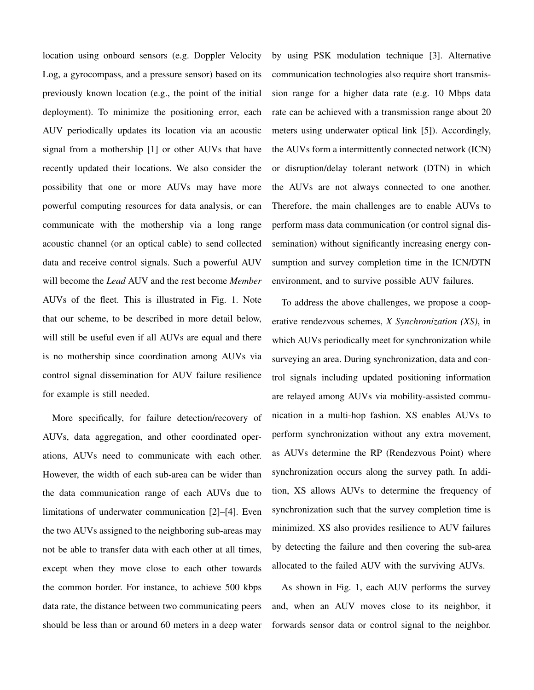location using onboard sensors (e.g. Doppler Velocity Log, a gyrocompass, and a pressure sensor) based on its previously known location (e.g., the point of the initial deployment). To minimize the positioning error, each AUV periodically updates its location via an acoustic signal from a mothership [1] or other AUVs that have recently updated their locations. We also consider the possibility that one or more AUVs may have more powerful computing resources for data analysis, or can communicate with the mothership via a long range acoustic channel (or an optical cable) to send collected data and receive control signals. Such a powerful AUV will become the *Lead* AUV and the rest become *Member* AUVs of the fleet. This is illustrated in Fig. 1. Note that our scheme, to be described in more detail below, will still be useful even if all AUVs are equal and there is no mothership since coordination among AUVs via control signal dissemination for AUV failure resilience for example is still needed.

More specifically, for failure detection/recovery of AUVs, data aggregation, and other coordinated operations, AUVs need to communicate with each other. However, the width of each sub-area can be wider than the data communication range of each AUVs due to limitations of underwater communication [2]–[4]. Even the two AUVs assigned to the neighboring sub-areas may not be able to transfer data with each other at all times, except when they move close to each other towards the common border. For instance, to achieve 500 kbps data rate, the distance between two communicating peers should be less than or around 60 meters in a deep water by using PSK modulation technique [3]. Alternative communication technologies also require short transmission range for a higher data rate (e.g. 10 Mbps data rate can be achieved with a transmission range about 20 meters using underwater optical link [5]). Accordingly, the AUVs form a intermittently connected network (ICN) or disruption/delay tolerant network (DTN) in which the AUVs are not always connected to one another. Therefore, the main challenges are to enable AUVs to perform mass data communication (or control signal dissemination) without significantly increasing energy consumption and survey completion time in the ICN/DTN environment, and to survive possible AUV failures.

To address the above challenges, we propose a cooperative rendezvous schemes, *X Synchronization (XS)*, in which AUVs periodically meet for synchronization while surveying an area. During synchronization, data and control signals including updated positioning information are relayed among AUVs via mobility-assisted communication in a multi-hop fashion. XS enables AUVs to perform synchronization without any extra movement, as AUVs determine the RP (Rendezvous Point) where synchronization occurs along the survey path. In addition, XS allows AUVs to determine the frequency of synchronization such that the survey completion time is minimized. XS also provides resilience to AUV failures by detecting the failure and then covering the sub-area allocated to the failed AUV with the surviving AUVs.

As shown in Fig. 1, each AUV performs the survey and, when an AUV moves close to its neighbor, it forwards sensor data or control signal to the neighbor.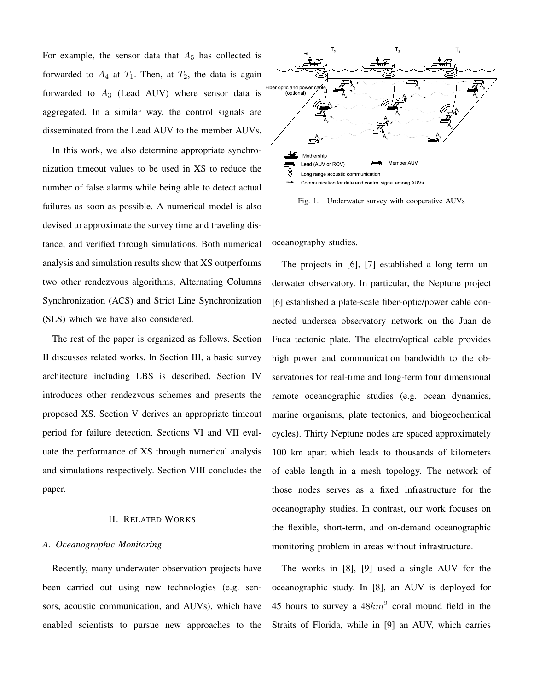For example, the sensor data that  $A_5$  has collected is forwarded to  $A_4$  at  $T_1$ . Then, at  $T_2$ , the data is again forwarded to  $A_3$  (Lead AUV) where sensor data is aggregated. In a similar way, the control signals are disseminated from the Lead AUV to the member AUVs.

In this work, we also determine appropriate synchronization timeout values to be used in XS to reduce the number of false alarms while being able to detect actual failures as soon as possible. A numerical model is also devised to approximate the survey time and traveling distance, and verified through simulations. Both numerical analysis and simulation results show that XS outperforms two other rendezvous algorithms, Alternating Columns Synchronization (ACS) and Strict Line Synchronization (SLS) which we have also considered.

The rest of the paper is organized as follows. Section II discusses related works. In Section III, a basic survey architecture including LBS is described. Section IV introduces other rendezvous schemes and presents the proposed XS. Section V derives an appropriate timeout period for failure detection. Sections VI and VII evaluate the performance of XS through numerical analysis and simulations respectively. Section VIII concludes the paper.

## II. RELATED WORKS

#### *A. Oceanographic Monitoring*

Recently, many underwater observation projects have been carried out using new technologies (e.g. sensors, acoustic communication, and AUVs), which have enabled scientists to pursue new approaches to the



Fig. 1. Underwater survey with cooperative AUVs

oceanography studies.

The projects in [6], [7] established a long term underwater observatory. In particular, the Neptune project [6] established a plate-scale fiber-optic/power cable connected undersea observatory network on the Juan de Fuca tectonic plate. The electro/optical cable provides high power and communication bandwidth to the observatories for real-time and long-term four dimensional remote oceanographic studies (e.g. ocean dynamics, marine organisms, plate tectonics, and biogeochemical cycles). Thirty Neptune nodes are spaced approximately 100 km apart which leads to thousands of kilometers of cable length in a mesh topology. The network of those nodes serves as a fixed infrastructure for the oceanography studies. In contrast, our work focuses on the flexible, short-term, and on-demand oceanographic monitoring problem in areas without infrastructure.

The works in [8], [9] used a single AUV for the oceanographic study. In [8], an AUV is deployed for 45 hours to survey a  $48km^2$  coral mound field in the Straits of Florida, while in [9] an AUV, which carries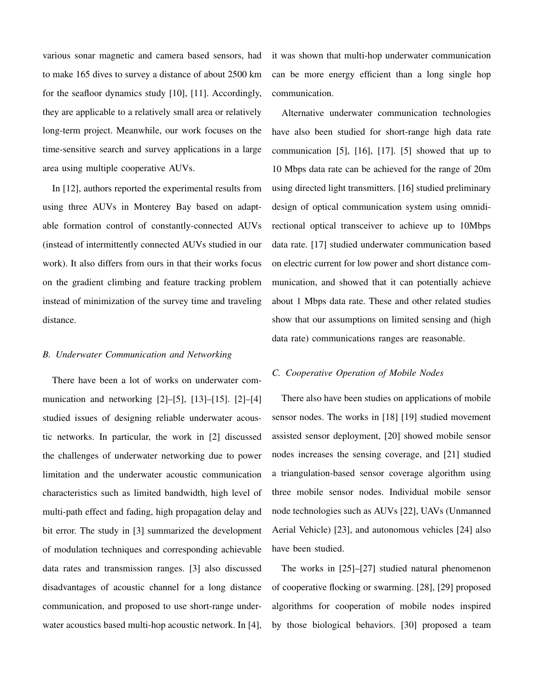various sonar magnetic and camera based sensors, had to make 165 dives to survey a distance of about 2500 km for the seafloor dynamics study [10], [11]. Accordingly, they are applicable to a relatively small area or relatively long-term project. Meanwhile, our work focuses on the time-sensitive search and survey applications in a large area using multiple cooperative AUVs.

In [12], authors reported the experimental results from using three AUVs in Monterey Bay based on adaptable formation control of constantly-connected AUVs (instead of intermittently connected AUVs studied in our work). It also differs from ours in that their works focus on the gradient climbing and feature tracking problem instead of minimization of the survey time and traveling distance.

## *B. Underwater Communication and Networking*

There have been a lot of works on underwater communication and networking  $[2]-[5]$ ,  $[13]-[15]$ .  $[2]-[4]$ studied issues of designing reliable underwater acoustic networks. In particular, the work in [2] discussed the challenges of underwater networking due to power limitation and the underwater acoustic communication characteristics such as limited bandwidth, high level of multi-path effect and fading, high propagation delay and bit error. The study in [3] summarized the development of modulation techniques and corresponding achievable data rates and transmission ranges. [3] also discussed disadvantages of acoustic channel for a long distance communication, and proposed to use short-range underwater acoustics based multi-hop acoustic network. In [4], it was shown that multi-hop underwater communication can be more energy efficient than a long single hop communication.

Alternative underwater communication technologies have also been studied for short-range high data rate communication [5], [16], [17]. [5] showed that up to 10 Mbps data rate can be achieved for the range of 20m using directed light transmitters. [16] studied preliminary design of optical communication system using omnidirectional optical transceiver to achieve up to 10Mbps data rate. [17] studied underwater communication based on electric current for low power and short distance communication, and showed that it can potentially achieve about 1 Mbps data rate. These and other related studies show that our assumptions on limited sensing and (high data rate) communications ranges are reasonable.

#### *C. Cooperative Operation of Mobile Nodes*

There also have been studies on applications of mobile sensor nodes. The works in [18] [19] studied movement assisted sensor deployment, [20] showed mobile sensor nodes increases the sensing coverage, and [21] studied a triangulation-based sensor coverage algorithm using three mobile sensor nodes. Individual mobile sensor node technologies such as AUVs [22], UAVs (Unmanned Aerial Vehicle) [23], and autonomous vehicles [24] also have been studied.

The works in [25]–[27] studied natural phenomenon of cooperative flocking or swarming. [28], [29] proposed algorithms for cooperation of mobile nodes inspired by those biological behaviors. [30] proposed a team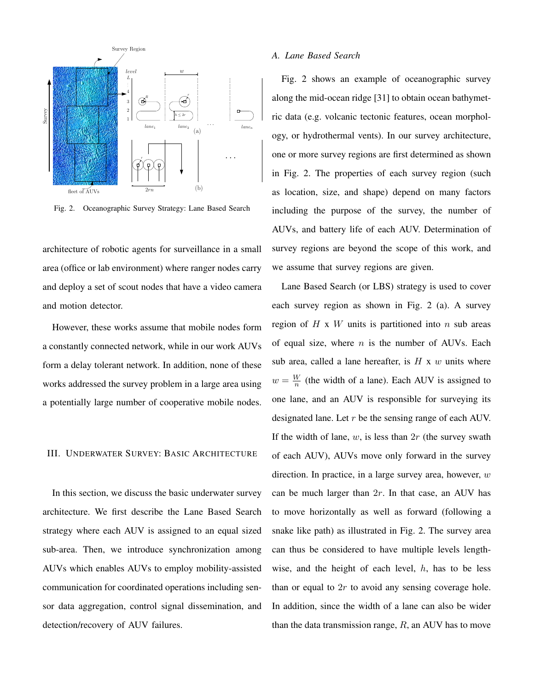

Fig. 2. Oceanographic Survey Strategy: Lane Based Search

architecture of robotic agents for surveillance in a small area (office or lab environment) where ranger nodes carry and deploy a set of scout nodes that have a video camera and motion detector.

However, these works assume that mobile nodes form a constantly connected network, while in our work AUVs form a delay tolerant network. In addition, none of these works addressed the survey problem in a large area using a potentially large number of cooperative mobile nodes.

# III. UNDERWATER SURVEY: BASIC ARCHITECTURE

In this section, we discuss the basic underwater survey architecture. We first describe the Lane Based Search strategy where each AUV is assigned to an equal sized sub-area. Then, we introduce synchronization among AUVs which enables AUVs to employ mobility-assisted communication for coordinated operations including sensor data aggregation, control signal dissemination, and detection/recovery of AUV failures.

#### *A. Lane Based Search*

Fig. 2 shows an example of oceanographic survey along the mid-ocean ridge [31] to obtain ocean bathymetric data (e.g. volcanic tectonic features, ocean morphology, or hydrothermal vents). In our survey architecture, one or more survey regions are first determined as shown in Fig. 2. The properties of each survey region (such as location, size, and shape) depend on many factors including the purpose of the survey, the number of AUVs, and battery life of each AUV. Determination of survey regions are beyond the scope of this work, and we assume that survey regions are given.

Lane Based Search (or LBS) strategy is used to cover each survey region as shown in Fig. 2 (a). A survey region of  $H \times W$  units is partitioned into  $n$  sub areas of equal size, where  $n$  is the number of AUVs. Each sub area, called a lane hereafter, is  $H \times w$  units where  $w = \frac{W}{n}$  $\frac{W}{n}$  (the width of a lane). Each AUV is assigned to one lane, and an AUV is responsible for surveying its designated lane. Let r be the sensing range of each AUV. If the width of lane,  $w$ , is less than  $2r$  (the survey swath of each AUV), AUVs move only forward in the survey direction. In practice, in a large survey area, however,  $w$ can be much larger than 2r. In that case, an AUV has to move horizontally as well as forward (following a snake like path) as illustrated in Fig. 2. The survey area can thus be considered to have multiple levels lengthwise, and the height of each level,  $h$ , has to be less than or equal to  $2r$  to avoid any sensing coverage hole. In addition, since the width of a lane can also be wider than the data transmission range,  $R$ , an AUV has to move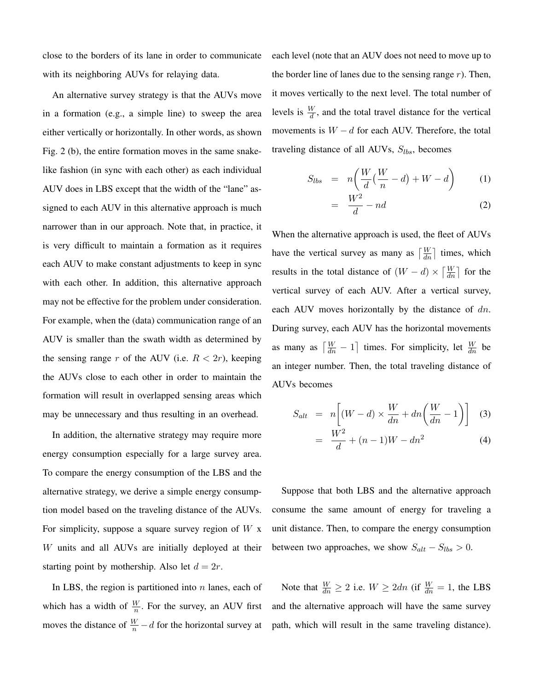close to the borders of its lane in order to communicate with its neighboring AUVs for relaying data.

An alternative survey strategy is that the AUVs move in a formation (e.g., a simple line) to sweep the area either vertically or horizontally. In other words, as shown Fig. 2 (b), the entire formation moves in the same snakelike fashion (in sync with each other) as each individual AUV does in LBS except that the width of the "lane" assigned to each AUV in this alternative approach is much narrower than in our approach. Note that, in practice, it is very difficult to maintain a formation as it requires each AUV to make constant adjustments to keep in sync with each other. In addition, this alternative approach may not be effective for the problem under consideration. For example, when the (data) communication range of an AUV is smaller than the swath width as determined by the sensing range r of the AUV (i.e.  $R < 2r$ ), keeping the AUVs close to each other in order to maintain the formation will result in overlapped sensing areas which may be unnecessary and thus resulting in an overhead.

In addition, the alternative strategy may require more energy consumption especially for a large survey area. To compare the energy consumption of the LBS and the alternative strategy, we derive a simple energy consumption model based on the traveling distance of the AUVs. For simplicity, suppose a square survey region of  $W$  x W units and all AUVs are initially deployed at their starting point by mothership. Also let  $d = 2r$ .

In LBS, the region is partitioned into  $n$  lanes, each of which has a width of  $\frac{W}{n}$ . For the survey, an AUV first moves the distance of  $\frac{W}{n} - d$  for the horizontal survey at

each level (note that an AUV does not need to move up to the border line of lanes due to the sensing range  $r$ ). Then, it moves vertically to the next level. The total number of levels is  $\frac{W}{d}$ , and the total travel distance for the vertical movements is  $W - d$  for each AUV. Therefore, the total traveling distance of all AUVs,  $S_{lbs}$ , becomes

$$
S_{lbs} = n\left(\frac{W}{d}(\frac{W}{n} - d) + W - d\right)
$$
 (1)

$$
= \frac{W^2}{d} - nd \tag{2}
$$

When the alternative approach is used, the fleet of AUVs have the vertical survey as many as  $\left\lceil \frac{W}{dn} \right\rceil$  times, which results in the total distance of  $(W - d) \times \left[\frac{W}{dn}\right]$  for the vertical survey of each AUV. After a vertical survey, each AUV moves horizontally by the distance of  $dn$ . During survey, each AUV has the horizontal movements as many as  $\left\lceil \frac{W}{dn} - 1 \right\rceil$  $\lceil$  times. For simplicity, let  $\frac{W}{dn}$  be an integer number. Then, the total traveling distance of AUVs becomes

$$
S_{alt} = n \left[ (W - d) \times \frac{W}{dn} + dn \left( \frac{W}{dn} - 1 \right) \right]
$$
 (3)  

$$
= \frac{W^2}{d} + (n - 1)W - dn^2
$$
 (4)

Suppose that both LBS and the alternative approach consume the same amount of energy for traveling a unit distance. Then, to compare the energy consumption between two approaches, we show  $S_{alt} - S_{lbs} > 0$ .

Note that  $\frac{W}{dn} \ge 2$  i.e.  $W \ge 2dn$  (if  $\frac{W}{dn} = 1$ , the LBS and the alternative approach will have the same survey path, which will result in the same traveling distance).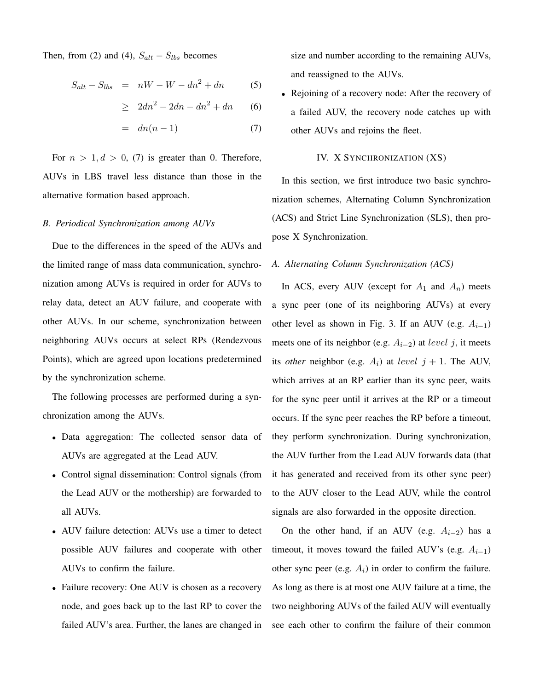Then, from (2) and (4),  $S_{alt} - S_{lbs}$  becomes

$$
S_{alt} - S_{lbs} = nW - W - dn^2 + dn \tag{5}
$$

$$
\geq 2dn^2 - 2dn - dn^2 + dn \qquad (6)
$$

$$
= dn(n-1) \tag{7}
$$

For  $n > 1, d > 0, (7)$  is greater than 0. Therefore, AUVs in LBS travel less distance than those in the alternative formation based approach.

#### *B. Periodical Synchronization among AUVs*

Due to the differences in the speed of the AUVs and the limited range of mass data communication, synchronization among AUVs is required in order for AUVs to relay data, detect an AUV failure, and cooperate with other AUVs. In our scheme, synchronization between neighboring AUVs occurs at select RPs (Rendezvous Points), which are agreed upon locations predetermined by the synchronization scheme.

The following processes are performed during a synchronization among the AUVs.

- Data aggregation: The collected sensor data of AUVs are aggregated at the Lead AUV.
- Control signal dissemination: Control signals (from the Lead AUV or the mothership) are forwarded to all AUVs.
- AUV failure detection: AUVs use a timer to detect possible AUV failures and cooperate with other AUVs to confirm the failure.
- Failure recovery: One AUV is chosen as a recovery node, and goes back up to the last RP to cover the failed AUV's area. Further, the lanes are changed in

size and number according to the remaining AUVs, and reassigned to the AUVs.

• Rejoining of a recovery node: After the recovery of a failed AUV, the recovery node catches up with other AUVs and rejoins the fleet.

#### IV. X SYNCHRONIZATION (XS)

In this section, we first introduce two basic synchronization schemes, Alternating Column Synchronization (ACS) and Strict Line Synchronization (SLS), then propose X Synchronization.

## *A. Alternating Column Synchronization (ACS)*

In ACS, every AUV (except for  $A_1$  and  $A_n$ ) meets a sync peer (one of its neighboring AUVs) at every other level as shown in Fig. 3. If an AUV (e.g.  $A_{i-1}$ ) meets one of its neighbor (e.g.  $A_{i-2}$ ) at *level* j, it meets its *other* neighbor (e.g.  $A_i$ ) at level  $j + 1$ . The AUV, which arrives at an RP earlier than its sync peer, waits for the sync peer until it arrives at the RP or a timeout occurs. If the sync peer reaches the RP before a timeout, they perform synchronization. During synchronization, the AUV further from the Lead AUV forwards data (that it has generated and received from its other sync peer) to the AUV closer to the Lead AUV, while the control signals are also forwarded in the opposite direction.

On the other hand, if an AUV (e.g.  $A_{i-2}$ ) has a timeout, it moves toward the failed AUV's (e.g.  $A_{i-1}$ ) other sync peer (e.g.  $A_i$ ) in order to confirm the failure. As long as there is at most one AUV failure at a time, the two neighboring AUVs of the failed AUV will eventually see each other to confirm the failure of their common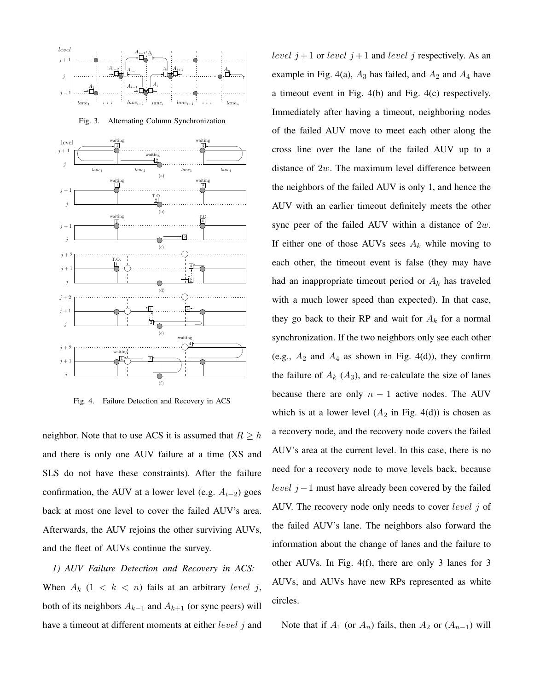

Fig. 3. Alternating Column Synchronization



Fig. 4. Failure Detection and Recovery in ACS

neighbor. Note that to use ACS it is assumed that  $R \geq h$ and there is only one AUV failure at a time (XS and SLS do not have these constraints). After the failure confirmation, the AUV at a lower level (e.g.  $A_{i-2}$ ) goes back at most one level to cover the failed AUV's area. Afterwards, the AUV rejoins the other surviving AUVs, and the fleet of AUVs continue the survey.

*1) AUV Failure Detection and Recovery in ACS:* When  $A_k$   $(1 \lt k \lt n)$  fails at an arbitrary level j, both of its neighbors  $A_{k-1}$  and  $A_{k+1}$  (or sync peers) will have a timeout at different moments at either *level* j and level  $j+1$  or level  $j+1$  and level  $j$  respectively. As an example in Fig. 4(a),  $A_3$  has failed, and  $A_2$  and  $A_4$  have a timeout event in Fig. 4(b) and Fig. 4(c) respectively. Immediately after having a timeout, neighboring nodes of the failed AUV move to meet each other along the cross line over the lane of the failed AUV up to a distance of  $2w$ . The maximum level difference between the neighbors of the failed AUV is only 1, and hence the AUV with an earlier timeout definitely meets the other sync peer of the failed AUV within a distance of  $2w$ . If either one of those AUVs sees  $A_k$  while moving to each other, the timeout event is false (they may have had an inappropriate timeout period or  $A_k$  has traveled with a much lower speed than expected). In that case, they go back to their RP and wait for  $A_k$  for a normal synchronization. If the two neighbors only see each other (e.g.,  $A_2$  and  $A_4$  as shown in Fig. 4(d)), they confirm the failure of  $A_k$  ( $A_3$ ), and re-calculate the size of lanes because there are only  $n - 1$  active nodes. The AUV which is at a lower level  $(A_2$  in Fig. 4(d)) is chosen as a recovery node, and the recovery node covers the failed AUV's area at the current level. In this case, there is no need for a recovery node to move levels back, because level  $j - 1$  must have already been covered by the failed AUV. The recovery node only needs to cover  $level j$  of the failed AUV's lane. The neighbors also forward the information about the change of lanes and the failure to other AUVs. In Fig. 4(f), there are only 3 lanes for 3 AUVs, and AUVs have new RPs represented as white circles.

Note that if  $A_1$  (or  $A_n$ ) fails, then  $A_2$  or  $(A_{n-1})$  will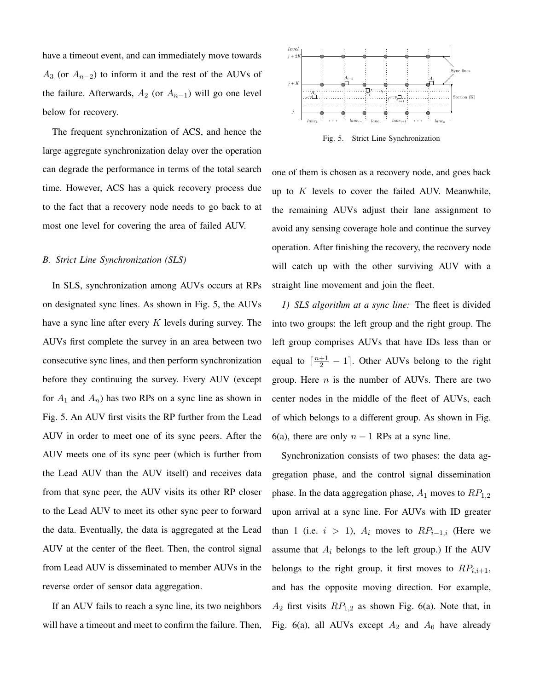have a timeout event, and can immediately move towards  $A_3$  (or  $A_{n-2}$ ) to inform it and the rest of the AUVs of the failure. Afterwards,  $A_2$  (or  $A_{n-1}$ ) will go one level below for recovery.

The frequent synchronization of ACS, and hence the large aggregate synchronization delay over the operation can degrade the performance in terms of the total search time. However, ACS has a quick recovery process due to the fact that a recovery node needs to go back to at most one level for covering the area of failed AUV.

## *B. Strict Line Synchronization (SLS)*

In SLS, synchronization among AUVs occurs at RPs on designated sync lines. As shown in Fig. 5, the AUVs have a sync line after every  $K$  levels during survey. The AUVs first complete the survey in an area between two consecutive sync lines, and then perform synchronization before they continuing the survey. Every AUV (except for  $A_1$  and  $A_n$ ) has two RPs on a sync line as shown in Fig. 5. An AUV first visits the RP further from the Lead AUV in order to meet one of its sync peers. After the AUV meets one of its sync peer (which is further from the Lead AUV than the AUV itself) and receives data from that sync peer, the AUV visits its other RP closer to the Lead AUV to meet its other sync peer to forward the data. Eventually, the data is aggregated at the Lead AUV at the center of the fleet. Then, the control signal from Lead AUV is disseminated to member AUVs in the reverse order of sensor data aggregation.

If an AUV fails to reach a sync line, its two neighbors will have a timeout and meet to confirm the failure. Then,



Fig. 5. Strict Line Synchronization

one of them is chosen as a recovery node, and goes back up to  $K$  levels to cover the failed AUV. Meanwhile, the remaining AUVs adjust their lane assignment to avoid any sensing coverage hole and continue the survey operation. After finishing the recovery, the recovery node will catch up with the other surviving AUV with a straight line movement and join the fleet.

*1) SLS algorithm at a sync line:* The fleet is divided into two groups: the left group and the right group. The left group comprises AUVs that have IDs less than or equal to  $\lceil \frac{n+1}{2} - 1 \rceil$ . Other AUVs belong to the right group. Here  $n$  is the number of AUVs. There are two center nodes in the middle of the fleet of AUVs, each of which belongs to a different group. As shown in Fig. 6(a), there are only  $n - 1$  RPs at a sync line.

Synchronization consists of two phases: the data aggregation phase, and the control signal dissemination phase. In the data aggregation phase,  $A_1$  moves to  $RP_{1,2}$ upon arrival at a sync line. For AUVs with ID greater than 1 (i.e.  $i > 1$ ),  $A_i$  moves to  $RP_{i-1,i}$  (Here we assume that  $A_i$  belongs to the left group.) If the AUV belongs to the right group, it first moves to  $RP_{i,i+1}$ , and has the opposite moving direction. For example,  $A_2$  first visits  $RP_{1,2}$  as shown Fig. 6(a). Note that, in Fig. 6(a), all AUVs except  $A_2$  and  $A_6$  have already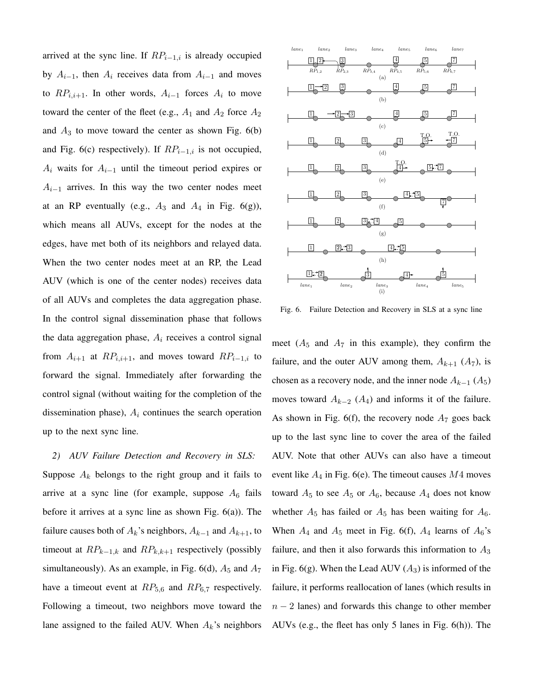arrived at the sync line. If  $RP_{i-1,i}$  is already occupied by  $A_{i-1}$ , then  $A_i$  receives data from  $A_{i-1}$  and moves to  $RP_{i,i+1}$ . In other words,  $A_{i-1}$  forces  $A_i$  to move toward the center of the fleet (e.g.,  $A_1$  and  $A_2$  force  $A_2$ and  $A_3$  to move toward the center as shown Fig.  $6(b)$ and Fig. 6(c) respectively). If  $RP_{i-1,i}$  is not occupied,  $A_i$  waits for  $A_{i-1}$  until the timeout period expires or  $A_{i-1}$  arrives. In this way the two center nodes meet at an RP eventually (e.g.,  $A_3$  and  $A_4$  in Fig. 6(g)), which means all AUVs, except for the nodes at the edges, have met both of its neighbors and relayed data. When the two center nodes meet at an RP, the Lead AUV (which is one of the center nodes) receives data of all AUVs and completes the data aggregation phase. In the control signal dissemination phase that follows the data aggregation phase,  $A_i$  receives a control signal from  $A_{i+1}$  at  $RP_{i,i+1}$ , and moves toward  $RP_{i-1,i}$  to forward the signal. Immediately after forwarding the control signal (without waiting for the completion of the dissemination phase),  $A_i$  continues the search operation up to the next sync line.

*2) AUV Failure Detection and Recovery in SLS:* Suppose  $A_k$  belongs to the right group and it fails to arrive at a sync line (for example, suppose  $A_6$  fails before it arrives at a sync line as shown Fig. 6(a)). The failure causes both of  $A_k$ 's neighbors,  $A_{k-1}$  and  $A_{k+1}$ , to timeout at  $RP_{k-1,k}$  and  $RP_{k,k+1}$  respectively (possibly simultaneously). As an example, in Fig. 6(d),  $A_5$  and  $A_7$ have a timeout event at  $RP_{5,6}$  and  $RP_{6,7}$  respectively. Following a timeout, two neighbors move toward the lane assigned to the failed AUV. When  $A_k$ 's neighbors



Fig. 6. Failure Detection and Recovery in SLS at a sync line

meet  $(A_5 \text{ and } A_7 \text{ in this example})$ , they confirm the failure, and the outer AUV among them,  $A_{k+1}$  ( $A_7$ ), is chosen as a recovery node, and the inner node  $A_{k-1}$  ( $A_5$ ) moves toward  $A_{k-2}$  ( $A_4$ ) and informs it of the failure. As shown in Fig. 6(f), the recovery node  $A_7$  goes back up to the last sync line to cover the area of the failed AUV. Note that other AUVs can also have a timeout event like  $A_4$  in Fig. 6(e). The timeout causes  $M4$  moves toward  $A_5$  to see  $A_5$  or  $A_6$ , because  $A_4$  does not know whether  $A_5$  has failed or  $A_5$  has been waiting for  $A_6$ . When  $A_4$  and  $A_5$  meet in Fig. 6(f),  $A_4$  learns of  $A_6$ 's failure, and then it also forwards this information to  $A_3$ in Fig. 6(g). When the Lead AUV  $(A_3)$  is informed of the failure, it performs reallocation of lanes (which results in  $n - 2$  lanes) and forwards this change to other member AUVs (e.g., the fleet has only 5 lanes in Fig. 6(h)). The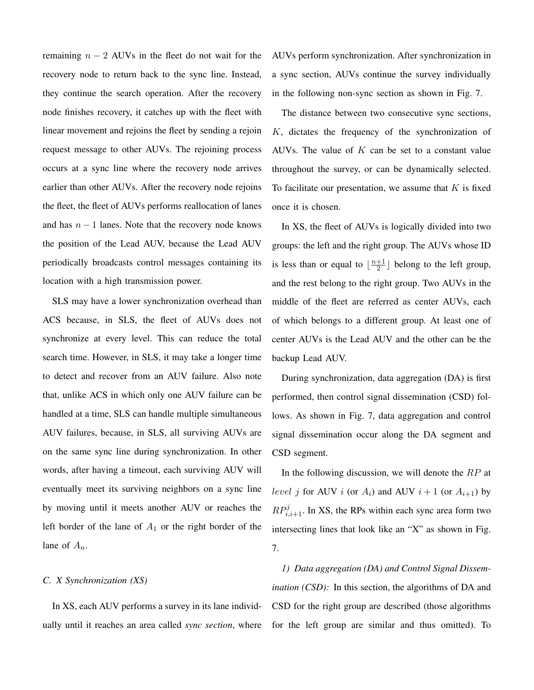remaining  $n - 2$  AUVs in the fleet do not wait for the recovery node to return back to the sync line. Instead, they continue the search operation. After the recovery node finishes recovery, it catches up with the fleet with linear movement and rejoins the fleet by sending a rejoin request message to other AUVs. The rejoining process occurs at a sync line where the recovery node arrives earlier than other AUVs. After the recovery node rejoins the fleet, the fleet of AUVs performs reallocation of lanes and has  $n - 1$  lanes. Note that the recovery node knows the position of the Lead AUV, because the Lead AUV periodically broadcasts control messages containing its location with a high transmission power.

SLS may have a lower synchronization overhead than ACS because, in SLS, the fleet of AUVs does not synchronize at every level. This can reduce the total search time. However, in SLS, it may take a longer time to detect and recover from an AUV failure. Also note that, unlike ACS in which only one AUV failure can be handled at a time, SLS can handle multiple simultaneous AUV failures, because, in SLS, all surviving AUVs are on the same sync line during synchronization. In other words, after having a timeout, each surviving AUV will eventually meet its surviving neighbors on a sync line by moving until it meets another AUV or reaches the left border of the lane of  $A_1$  or the right border of the lane of  $A_n$ .

# *C. X Synchronization (XS)*

In XS, each AUV performs a survey in its lane individually until it reaches an area called *sync section*, where AUVs perform synchronization. After synchronization in a sync section, AUVs continue the survey individually in the following non-sync section as shown in Fig. 7.

The distance between two consecutive sync sections, K, dictates the frequency of the synchronization of AUVs. The value of  $K$  can be set to a constant value throughout the survey, or can be dynamically selected. To facilitate our presentation, we assume that  $K$  is fixed once it is chosen.

In XS, the fleet of AUVs is logically divided into two groups: the left and the right group. The AUVs whose ID is less than or equal to  $\frac{n+1}{2}$  $\frac{+1}{2}$  belong to the left group, and the rest belong to the right group. Two AUVs in the middle of the fleet are referred as center AUVs, each of which belongs to a different group. At least one of center AUVs is the Lead AUV and the other can be the backup Lead AUV.

During synchronization, data aggregation (DA) is first performed, then control signal dissemination (CSD) follows. As shown in Fig. 7, data aggregation and control signal dissemination occur along the DA segment and CSD segment.

In the following discussion, we will denote the  $RP$  at *level j* for AUV *i* (or  $A_i$ ) and AUV  $i + 1$  (or  $A_{i+1}$ ) by  $RP_{i,i+1}^j$ . In XS, the RPs within each sync area form two intersecting lines that look like an "X" as shown in Fig. 7.

*1) Data aggregation (DA) and Control Signal Dissemination (CSD)*: In this section, the algorithms of DA and CSD for the right group are described (those algorithms for the left group are similar and thus omitted). To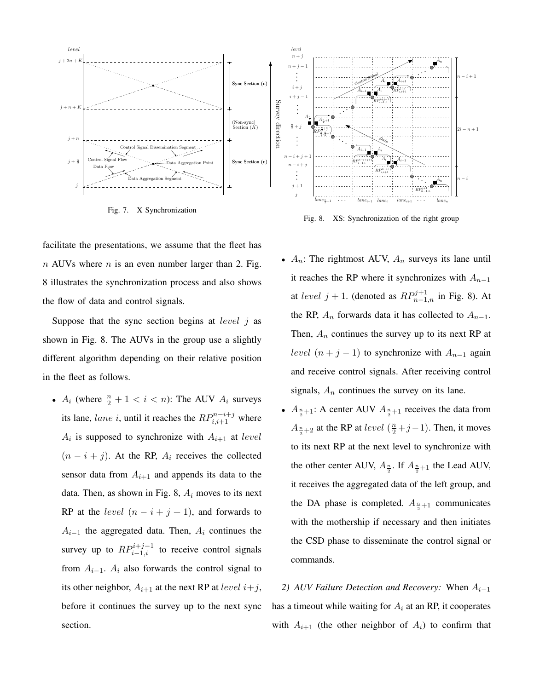

Fig. 7. X Synchronization

Fig. 8. XS: Synchronization of the right group

facilitate the presentations, we assume that the fleet has  $n$  AUVs where  $n$  is an even number larger than 2. Fig. 8 illustrates the synchronization process and also shows the flow of data and control signals.

Suppose that the sync section begins at *level*  $j$  as shown in Fig. 8. The AUVs in the group use a slightly different algorithm depending on their relative position in the fleet as follows.

- $A_i$  (where  $\frac{n}{2} + 1 < i < n$ ): The AUV  $A_i$  surveys its lane, *lane i*, until it reaches the  $RP_{i,i+1}^{n-i+j}$  where  $A_i$  is supposed to synchronize with  $A_{i+1}$  at level  $(n - i + j)$ . At the RP,  $A_i$  receives the collected sensor data from  $A_{i+1}$  and appends its data to the data. Then, as shown in Fig. 8,  $A_i$  moves to its next RP at the *level*  $(n - i + j + 1)$ , and forwards to  $A_{i-1}$  the aggregated data. Then,  $A_i$  continues the survey up to  $RP_{i-1,i}^{i+j-1}$  to receive control signals from  $A_{i-1}$ .  $A_i$  also forwards the control signal to its other neighbor,  $A_{i+1}$  at the next RP at *level*  $i+j$ , before it continues the survey up to the next sync section.
- $A_n$ : The rightmost AUV,  $A_n$  surveys its lane until it reaches the RP where it synchronizes with  $A_{n-1}$ at level  $j + 1$ . (denoted as  $RP_{n-1,n}^{j+1}$  in Fig. 8). At the RP,  $A_n$  forwards data it has collected to  $A_{n-1}$ . Then,  $A_n$  continues the survey up to its next RP at level  $(n + j - 1)$  to synchronize with  $A_{n-1}$  again and receive control signals. After receiving control signals,  $A_n$  continues the survey on its lane.
- $A_{\frac{n}{2}+1}$ : A center AUV  $A_{\frac{n}{2}+1}$  receives the data from  $A_{\frac{n}{2}+2}$  at the RP at *level* ( $\frac{n}{2}+j-1$ ). Then, it moves to its next RP at the next level to synchronize with the other center AUV,  $A_{\frac{n}{2}}$ . If  $A_{\frac{n}{2}+1}$  the Lead AUV, it receives the aggregated data of the left group, and the DA phase is completed.  $A_{\frac{n}{2}+1}$  communicates with the mothership if necessary and then initiates the CSD phase to disseminate the control signal or commands.

2) AUV Failure Detection and Recovery: When  $A_{i-1}$ has a timeout while waiting for  $A_i$  at an RP, it cooperates with  $A_{i+1}$  (the other neighbor of  $A_i$ ) to confirm that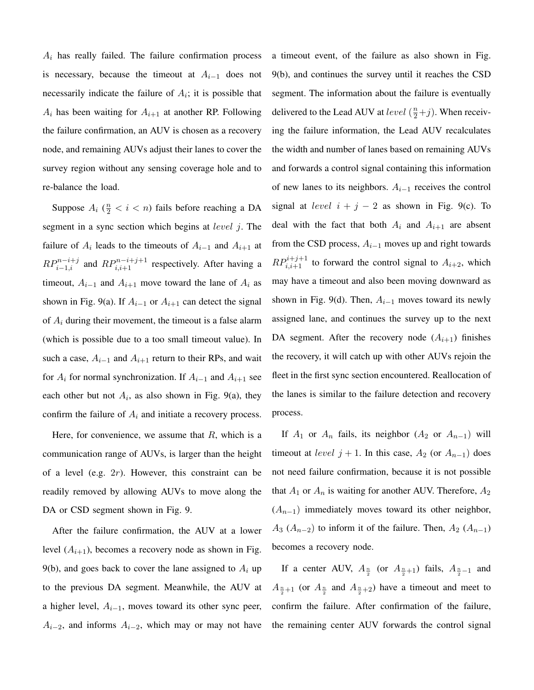$A_i$  has really failed. The failure confirmation process is necessary, because the timeout at  $A_{i-1}$  does not necessarily indicate the failure of  $A_i$ ; it is possible that  $A_i$  has been waiting for  $A_{i+1}$  at another RP. Following the failure confirmation, an AUV is chosen as a recovery node, and remaining AUVs adjust their lanes to cover the survey region without any sensing coverage hole and to re-balance the load.

Suppose  $A_i$  ( $\frac{n}{2} < i < n$ ) fails before reaching a DA segment in a sync section which begins at *level i*. The failure of  $A_i$  leads to the timeouts of  $A_{i-1}$  and  $A_{i+1}$  at  $RP_{i-1,i}^{n-i+j}$  and  $RP_{i,i+1}^{n-i+j+1}$  respectively. After having a timeout,  $A_{i-1}$  and  $A_{i+1}$  move toward the lane of  $A_i$  as shown in Fig. 9(a). If  $A_{i-1}$  or  $A_{i+1}$  can detect the signal of  $A_i$  during their movement, the timeout is a false alarm (which is possible due to a too small timeout value). In such a case,  $A_{i-1}$  and  $A_{i+1}$  return to their RPs, and wait for  $A_i$  for normal synchronization. If  $A_{i-1}$  and  $A_{i+1}$  see each other but not  $A_i$ , as also shown in Fig. 9(a), they confirm the failure of  $A_i$  and initiate a recovery process.

Here, for convenience, we assume that  $R$ , which is a communication range of AUVs, is larger than the height of a level (e.g.  $2r$ ). However, this constraint can be readily removed by allowing AUVs to move along the DA or CSD segment shown in Fig. 9.

After the failure confirmation, the AUV at a lower level  $(A_{i+1})$ , becomes a recovery node as shown in Fig. 9(b), and goes back to cover the lane assigned to  $A_i$  up to the previous DA segment. Meanwhile, the AUV at a higher level,  $A_{i-1}$ , moves toward its other sync peer,  $A_{i-2}$ , and informs  $A_{i-2}$ , which may or may not have a timeout event, of the failure as also shown in Fig. 9(b), and continues the survey until it reaches the CSD segment. The information about the failure is eventually delivered to the Lead AUV at *level*  $(\frac{n}{2} + j)$ . When receiving the failure information, the Lead AUV recalculates the width and number of lanes based on remaining AUVs and forwards a control signal containing this information of new lanes to its neighbors.  $A_{i-1}$  receives the control signal at *level*  $i + j - 2$  as shown in Fig. 9(c). To deal with the fact that both  $A_i$  and  $A_{i+1}$  are absent from the CSD process,  $A_{i-1}$  moves up and right towards  $RP_{i,i+1}^{i+j+1}$  to forward the control signal to  $A_{i+2}$ , which may have a timeout and also been moving downward as shown in Fig. 9(d). Then,  $A_{i-1}$  moves toward its newly assigned lane, and continues the survey up to the next DA segment. After the recovery node  $(A_{i+1})$  finishes the recovery, it will catch up with other AUVs rejoin the fleet in the first sync section encountered. Reallocation of the lanes is similar to the failure detection and recovery process.

If  $A_1$  or  $A_n$  fails, its neighbor  $(A_2 \text{ or } A_{n-1})$  will timeout at *level*  $j + 1$ . In this case,  $A_2$  (or  $A_{n-1}$ ) does not need failure confirmation, because it is not possible that  $A_1$  or  $A_n$  is waiting for another AUV. Therefore,  $A_2$  $(A_{n-1})$  immediately moves toward its other neighbor,  $A_3$  ( $A_{n-2}$ ) to inform it of the failure. Then,  $A_2$  ( $A_{n-1}$ ) becomes a recovery node.

If a center AUV,  $A_{\frac{n}{2}}$  (or  $A_{\frac{n}{2}+1}$ ) fails,  $A_{\frac{n}{2}-1}$  and  $A_{\frac{n}{2}+1}$  (or  $A_{\frac{n}{2}}$  and  $A_{\frac{n}{2}+2}$ ) have a timeout and meet to confirm the failure. After confirmation of the failure, the remaining center AUV forwards the control signal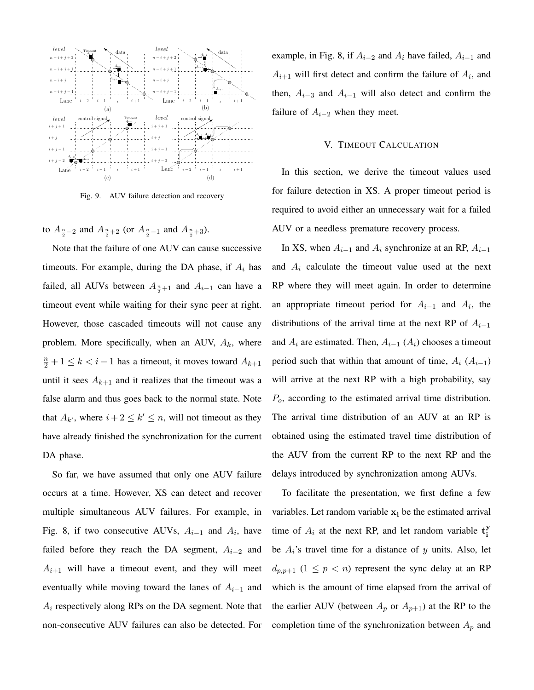

Fig. 9. AUV failure detection and recovery

to  $A_{\frac{n}{2}-2}$  and  $A_{\frac{n}{2}+2}$  (or  $A_{\frac{n}{2}-1}$  and  $A_{\frac{n}{2}+3}$ ).

Note that the failure of one AUV can cause successive timeouts. For example, during the DA phase, if  $A_i$  has failed, all AUVs between  $A_{\frac{n}{2}+1}$  and  $A_{i-1}$  can have a timeout event while waiting for their sync peer at right. However, those cascaded timeouts will not cause any problem. More specifically, when an AUV,  $A_k$ , where  $\frac{n}{2} + 1 \le k < i - 1$  has a timeout, it moves toward  $A_{k+1}$ until it sees  $A_{k+1}$  and it realizes that the timeout was a false alarm and thus goes back to the normal state. Note that  $A_{k'}$ , where  $i + 2 \leq k' \leq n$ , will not timeout as they have already finished the synchronization for the current DA phase.

So far, we have assumed that only one AUV failure occurs at a time. However, XS can detect and recover multiple simultaneous AUV failures. For example, in Fig. 8, if two consecutive AUVs,  $A_{i-1}$  and  $A_i$ , have failed before they reach the DA segment,  $A_{i-2}$  and  $A_{i+1}$  will have a timeout event, and they will meet eventually while moving toward the lanes of  $A_{i-1}$  and  $A_i$  respectively along RPs on the DA segment. Note that non-consecutive AUV failures can also be detected. For example, in Fig. 8, if  $A_{i-2}$  and  $A_i$  have failed,  $A_{i-1}$  and  $A_{i+1}$  will first detect and confirm the failure of  $A_i$ , and then,  $A_{i-3}$  and  $A_{i-1}$  will also detect and confirm the failure of  $A_{i-2}$  when they meet.

### V. TIMEOUT CALCULATION

In this section, we derive the timeout values used for failure detection in XS. A proper timeout period is required to avoid either an unnecessary wait for a failed AUV or a needless premature recovery process.

In XS, when  $A_{i-1}$  and  $A_i$  synchronize at an RP,  $A_{i-1}$ and  $A_i$  calculate the timeout value used at the next RP where they will meet again. In order to determine an appropriate timeout period for  $A_{i-1}$  and  $A_i$ , the distributions of the arrival time at the next RP of  $A_{i-1}$ and  $A_i$  are estimated. Then,  $A_{i-1}$  ( $A_i$ ) chooses a timeout period such that within that amount of time,  $A_i$  ( $A_{i-1}$ ) will arrive at the next RP with a high probability, say  $P<sub>o</sub>$ , according to the estimated arrival time distribution. The arrival time distribution of an AUV at an RP is obtained using the estimated travel time distribution of the AUV from the current RP to the next RP and the delays introduced by synchronization among AUVs.

To facilitate the presentation, we first define a few variables. Let random variable  $x_i$  be the estimated arrival time of  $A_i$  at the next RP, and let random variable  $t_i^y$ i be  $A_i$ 's travel time for a distance of y units. Also, let  $d_{p,p+1}$   $(1 \leq p < n)$  represent the sync delay at an RP which is the amount of time elapsed from the arrival of the earlier AUV (between  $A_p$  or  $A_{p+1}$ ) at the RP to the completion time of the synchronization between  $A_p$  and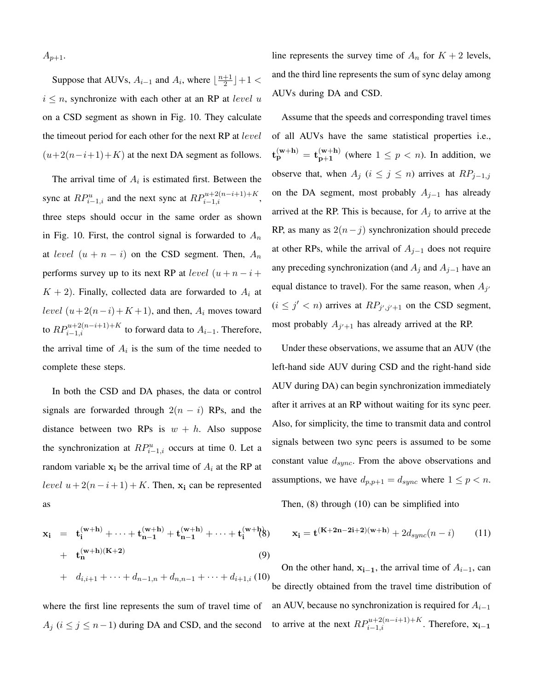$A_{p+1}.$ 

Suppose that AUVs,  $A_{i-1}$  and  $A_i$ , where  $\lfloor \frac{n+1}{2} \rfloor$  $\frac{+1}{2}$  | + 1 <  $i \leq n$ , synchronize with each other at an RP at *level* u on a CSD segment as shown in Fig. 10. They calculate the timeout period for each other for the next RP at *level*  $(u+2(n-i+1)+K)$  at the next DA segment as follows.

The arrival time of  $A_i$  is estimated first. Between the sync at  $RP_{i-1,i}^u$  and the next sync at  $RP_{i-1,i}^{u+2(n-i+1)+K}$ , three steps should occur in the same order as shown in Fig. 10. First, the control signal is forwarded to  $A_n$ at level  $(u + n - i)$  on the CSD segment. Then,  $A_n$ performs survey up to its next RP at *level*  $(u + n - i +$  $K + 2$ ). Finally, collected data are forwarded to  $A_i$  at level  $(u+2(n-i)+K+1)$ , and then,  $A_i$  moves toward to  $RP_{i-1,i}^{u+2(n-i+1)+K}$  to forward data to  $A_{i-1}$ . Therefore, the arrival time of  $A_i$  is the sum of the time needed to complete these steps.

In both the CSD and DA phases, the data or control signals are forwarded through  $2(n - i)$  RPs, and the distance between two RPs is  $w + h$ . Also suppose the synchronization at  $RP_{i-1,i}^u$  occurs at time 0. Let a random variable  $x_i$  be the arrival time of  $A_i$  at the RP at level  $u + 2(n-i+1) + K$ . Then,  $x_i$  can be represented as

$$
\mathbf{x}_{i} = \mathbf{t}_{i}^{(\mathbf{w}+\mathbf{h})} + \dots + \mathbf{t}_{n-1}^{(\mathbf{w}+\mathbf{h})} + \mathbf{t}_{n-1}^{(\mathbf{w}+\mathbf{h})} + \dots + \mathbf{t}_{i}^{(\mathbf{w}+\mathbf{h})}(\mathbf{B})
$$
  
+  $\mathbf{t}_{n}^{(\mathbf{w}+\mathbf{h})(\mathbf{K}+2)}$  (9)  
+  $d_{i,i+1} + \dots + d_{n-1,n} + d_{n,n-1} + \dots + d_{i+1,i}$  (10)

where the first line represents the sum of travel time of  $A_j$  ( $i \le j \le n-1$ ) during DA and CSD, and the second

line represents the survey time of  $A_n$  for  $K + 2$  levels, and the third line represents the sum of sync delay among AUVs during DA and CSD.

Assume that the speeds and corresponding travel times of all AUVs have the same statistical properties i.e.,  $\mathrm{t}_{\mathrm{p}}^{(\mathrm{w+h})}=\mathrm{t}_{\mathrm{n+1}}^{(\mathrm{w+h})}$  $\mathbf{p+1}^{(\mathbf{w+n})}$  (where  $1 \leq p < n$ ). In addition, we observe that, when  $A_j$  ( $i \leq j \leq n$ ) arrives at  $RP_{j-1,j}$ on the DA segment, most probably  $A_{j-1}$  has already arrived at the RP. This is because, for  $A_i$  to arrive at the RP, as many as  $2(n-j)$  synchronization should precede at other RPs, while the arrival of  $A_{i-1}$  does not require any preceding synchronization (and  $A_j$  and  $A_{j-1}$  have an equal distance to travel). For the same reason, when  $A_{j'}$  $(i \leq j' < n)$  arrives at  $RP_{j',j'+1}$  on the CSD segment, most probably  $A_{j'+1}$  has already arrived at the RP.

Under these observations, we assume that an AUV (the left-hand side AUV during CSD and the right-hand side AUV during DA) can begin synchronization immediately after it arrives at an RP without waiting for its sync peer. Also, for simplicity, the time to transmit data and control signals between two sync peers is assumed to be some constant value  $d_{sync}$ . From the above observations and assumptions, we have  $d_{p,p+1} = d_{sync}$  where  $1 \le p < n$ .

Then, (8) through (10) can be simplified into

$$
\mathbf{x_i} = \mathbf{t}^{(\mathbf{K} + 2\mathbf{n} - 2\mathbf{i} + 2)(\mathbf{w} + \mathbf{h})} + 2d_{sync}(n - i)
$$
 (11)

On the other hand,  $x_{i-1}$ , the arrival time of  $A_{i-1}$ , can be directly obtained from the travel time distribution of an AUV, because no synchronization is required for  $A_{i-1}$ to arrive at the next  $RP_{i-1,i}^{u+2(n-i+1)+K}$ . Therefore,  $\mathbf{x_{i-1}}$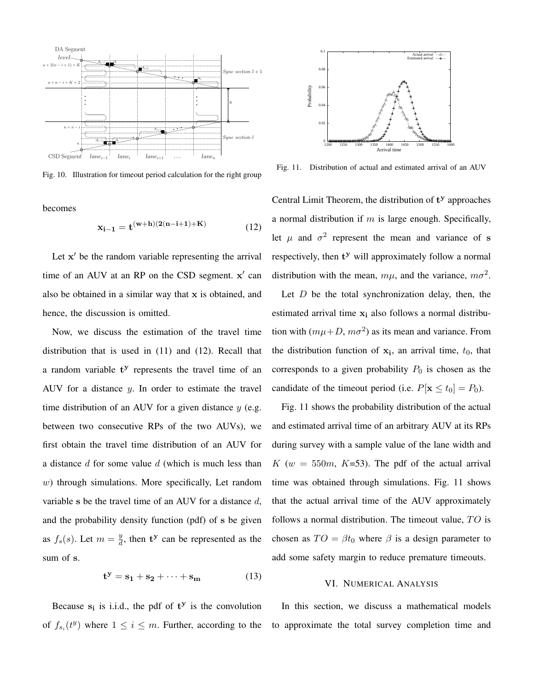

Fig. 10. Illustration for timeout period calculation for the right group

becomes

$$
x_{i-1} = t^{(w+h)(2(n-i+1)+K)}
$$
 (12)

Let  $x'$  be the random variable representing the arrival time of an AUV at an RP on the CSD segment.  $x'$  can also be obtained in a similar way that x is obtained, and hence, the discussion is omitted.

Now, we discuss the estimation of the travel time distribution that is used in (11) and (12). Recall that a random variable t<sup>y</sup> represents the travel time of an AUV for a distance  $y$ . In order to estimate the travel time distribution of an AUV for a given distance  $y$  (e.g. between two consecutive RPs of the two AUVs), we first obtain the travel time distribution of an AUV for a distance  $d$  for some value  $d$  (which is much less than w) through simulations. More specifically, Let random variable s be the travel time of an AUV for a distance  $d$ , and the probability density function (pdf) of s be given as  $f_s(s)$ . Let  $m = \frac{y}{d}$  $\frac{y}{d}$ , then  $t^y$  can be represented as the sum of s.

$$
\mathbf{t}^{\mathbf{y}} = \mathbf{s}_1 + \mathbf{s}_2 + \dots + \mathbf{s}_m \tag{13}
$$

Because  $s_i$  is i.i.d., the pdf of  $t^y$  is the convolution of  $f_{s_i}(t^y)$  where  $1 \leq i \leq m$ . Further, according to the



Fig. 11. Distribution of actual and estimated arrival of an AUV

Central Limit Theorem, the distribution of  $t<sup>y</sup>$  approaches a normal distribution if  $m$  is large enough. Specifically, let  $\mu$  and  $\sigma^2$  represent the mean and variance of s respectively, then  $t^y$  will approximately follow a normal distribution with the mean,  $m\mu$ , and the variance,  $m\sigma^2$ .

Let  $D$  be the total synchronization delay, then, the estimated arrival time  $x_i$  also follows a normal distribution with  $(m\mu + D, m\sigma^2)$  as its mean and variance. From the distribution function of  $x_i$ , an arrival time,  $t_0$ , that corresponds to a given probability  $P_0$  is chosen as the candidate of the timeout period (i.e.  $P[\mathbf{x} \le t_0] = P_0$ ).

Fig. 11 shows the probability distribution of the actual and estimated arrival time of an arbitrary AUV at its RPs during survey with a sample value of the lane width and K ( $w = 550m$ , K=53). The pdf of the actual arrival time was obtained through simulations. Fig. 11 shows that the actual arrival time of the AUV approximately follows a normal distribution. The timeout value,  $TO$  is chosen as  $TO = \beta t_0$  where  $\beta$  is a design parameter to add some safety margin to reduce premature timeouts.

#### VI. NUMERICAL ANALYSIS

In this section, we discuss a mathematical models to approximate the total survey completion time and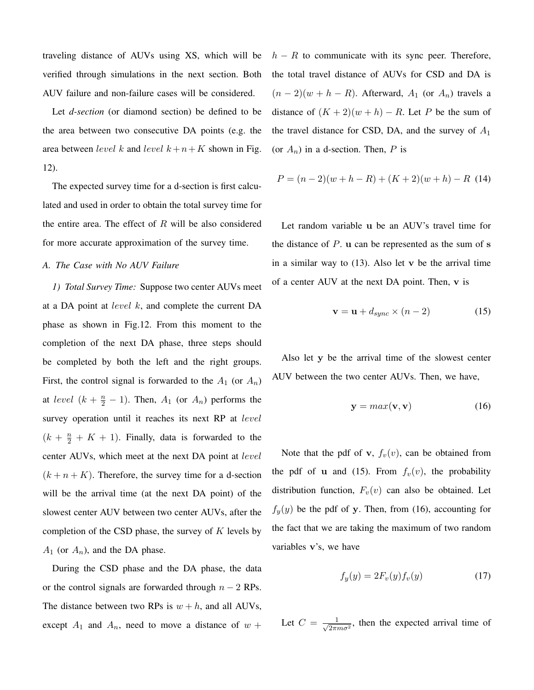traveling distance of AUVs using XS, which will be verified through simulations in the next section. Both AUV failure and non-failure cases will be considered.

Let *d-section* (or diamond section) be defined to be the area between two consecutive DA points (e.g. the area between level k and level  $k+n+K$  shown in Fig. 12).

The expected survey time for a d-section is first calculated and used in order to obtain the total survey time for the entire area. The effect of  $R$  will be also considered for more accurate approximation of the survey time.

#### *A. The Case with No AUV Failure*

*1) Total Survey Time:* Suppose two center AUVs meet at a DA point at *level*  $k$ , and complete the current DA phase as shown in Fig.12. From this moment to the completion of the next DA phase, three steps should be completed by both the left and the right groups. First, the control signal is forwarded to the  $A_1$  (or  $A_n$ ) at level  $(k + \frac{n}{2} - 1)$ . Then,  $A_1$  (or  $A_n$ ) performs the survey operation until it reaches its next RP at *level*  $(k + \frac{n}{2} + K + 1)$ . Finally, data is forwarded to the center AUVs, which meet at the next DA point at level  $(k + n + K)$ . Therefore, the survey time for a d-section will be the arrival time (at the next DA point) of the slowest center AUV between two center AUVs, after the completion of the CSD phase, the survey of  $K$  levels by  $A_1$  (or  $A_n$ ), and the DA phase.

During the CSD phase and the DA phase, the data or the control signals are forwarded through  $n - 2$  RPs. The distance between two RPs is  $w + h$ , and all AUVs, except  $A_1$  and  $A_n$ , need to move a distance of  $w +$   $h - R$  to communicate with its sync peer. Therefore, the total travel distance of AUVs for CSD and DA is  $(n-2)(w+h-R)$ . Afterward,  $A_1$  (or  $A_n$ ) travels a distance of  $(K + 2)(w + h) - R$ . Let P be the sum of the travel distance for CSD, DA, and the survey of  $A_1$ (or  $A_n$ ) in a d-section. Then, P is

$$
P = (n-2)(w+h-R) + (K+2)(w+h) - R \tag{14}
$$

Let random variable u be an AUV's travel time for the distance of  $P$ . u can be represented as the sum of  $s$ in a similar way to  $(13)$ . Also let v be the arrival time of a center AUV at the next DA point. Then, v is

$$
\mathbf{v} = \mathbf{u} + d_{sync} \times (n - 2) \tag{15}
$$

Also let y be the arrival time of the slowest center AUV between the two center AUVs. Then, we have,

$$
y = max(v, v) \tag{16}
$$

Note that the pdf of v,  $f_v(v)$ , can be obtained from the pdf of u and (15). From  $f_v(v)$ , the probability distribution function,  $F_v(v)$  can also be obtained. Let  $f_y(y)$  be the pdf of y. Then, from (16), accounting for the fact that we are taking the maximum of two random variables v's, we have

$$
f_y(y) = 2F_v(y)f_v(y) \tag{17}
$$

Let  $C = \frac{1}{\sqrt{2}}$  $\frac{1}{2\pi m\sigma^2}$ , then the expected arrival time of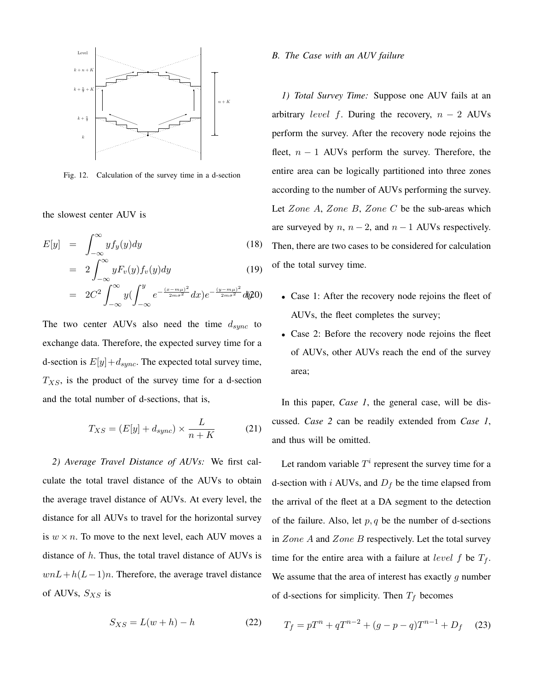

Fig. 12. Calculation of the survey time in a d-section

the slowest center AUV is

−∞

$$
E[y] = \int_{-\infty}^{\infty} y f_y(y) dy
$$
\n
$$
= 2 \int_{-\infty}^{\infty} y F_v(y) f_v(y) dy
$$
\n
$$
= 2C^2 \int_{-\infty}^{\infty} y \left( \int_{-\infty}^{y} e^{-\frac{(x - m\mu)^2}{2m\sigma^2}} dx \right) e^{-\frac{(y - m\mu)^2}{2m\sigma^2}} d\omega
$$
\n(19)

−∞

The two center AUVs also need the time  $d_{sync}$  to exchange data. Therefore, the expected survey time for a d-section is  $E[y] + d_{sync}$ . The expected total survey time,  $T_{XS}$ , is the product of the survey time for a d-section and the total number of d-sections, that is,

$$
T_{XS} = (E[y] + d_{sync}) \times \frac{L}{n+K}
$$
 (21)

*2) Average Travel Distance of AUVs:* We first calculate the total travel distance of the AUVs to obtain the average travel distance of AUVs. At every level, the distance for all AUVs to travel for the horizontal survey is  $w \times n$ . To move to the next level, each AUV moves a distance of  $h$ . Thus, the total travel distance of AUVs is  $wnL + h(L-1)n$ . Therefore, the average travel distance of AUVs,  $S_{XS}$  is

$$
S_{XS} = L(w+h) - h \tag{22}
$$

#### *B. The Case with an AUV failure*

*1) Total Survey Time:* Suppose one AUV fails at an arbitrary level f. During the recovery,  $n - 2$  AUVs perform the survey. After the recovery node rejoins the fleet,  $n - 1$  AUVs perform the survey. Therefore, the entire area can be logically partitioned into three zones according to the number of AUVs performing the survey. Let Zone  $A$ , Zone  $B$ , Zone  $C$  be the sub-areas which are surveyed by  $n, n - 2$ , and  $n - 1$  AUVs respectively. Then, there are two cases to be considered for calculation of the total survey time.

- Case 1: After the recovery node rejoins the fleet of AUVs, the fleet completes the survey;
- Case 2: Before the recovery node rejoins the fleet of AUVs, other AUVs reach the end of the survey area;

In this paper, *Case 1*, the general case, will be discussed. *Case 2* can be readily extended from *Case 1*, and thus will be omitted.

Let random variable  $T^i$  represent the survey time for a d-section with i AUVs, and  $D_f$  be the time elapsed from the arrival of the fleet at a DA segment to the detection of the failure. Also, let  $p, q$  be the number of d-sections in  $Zone\ A$  and  $Zone\ B$  respectively. Let the total survey time for the entire area with a failure at *level*  $f$  be  $T_f$ . We assume that the area of interest has exactly  $q$  number of d-sections for simplicity. Then  $T_f$  becomes

$$
T_f = pT^n + qT^{n-2} + (g - p - q)T^{n-1} + D_f \quad (23)
$$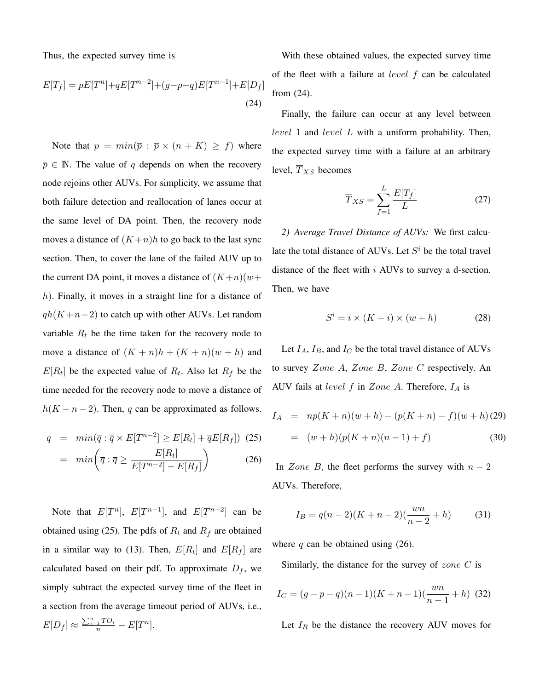Thus, the expected survey time is

$$
E[T_f] = pE[T^n] + qE[T^{n-2}] + (g-p-q)E[T^{n-1}] + E[D_f]
$$
\n(24)

Note that  $p = min(\overline{p} : \overline{p} \times (n + K) \geq f)$  where  $\overline{p} \in \mathbb{N}$ . The value of q depends on when the recovery node rejoins other AUVs. For simplicity, we assume that both failure detection and reallocation of lanes occur at the same level of DA point. Then, the recovery node moves a distance of  $(K+n)h$  to go back to the last sync section. Then, to cover the lane of the failed AUV up to the current DA point, it moves a distance of  $(K+n)(w+$  $h$ ). Finally, it moves in a straight line for a distance of  $qh(K+n-2)$  to catch up with other AUVs. Let random variable  $R_t$  be the time taken for the recovery node to move a distance of  $(K + n)h + (K + n)(w + h)$  and  $E[R_t]$  be the expected value of  $R_t$ . Also let  $R_f$  be the time needed for the recovery node to move a distance of  $h(K + n - 2)$ . Then, q can be approximated as follows.

$$
q = min(\overline{q} : \overline{q} \times E[T^{n-2}] \ge E[R_t] + \overline{q}E[R_f]) \tag{25}
$$

$$
= min\left(\overline{q} : \overline{q} \ge \frac{E[R_t]}{E[T^{n-2}] - E[R_f]}\right) \tag{26}
$$

Note that  $E[T^n]$ ,  $E[T^{n-1}]$ , and  $E[T^{n-2}]$  can be obtained using (25). The pdfs of  $R_t$  and  $R_f$  are obtained in a similar way to (13). Then,  $E[R_t]$  and  $E[R_f]$  are calculated based on their pdf. To approximate  $D_f$ , we simply subtract the expected survey time of the fleet in a section from the average timeout period of AUVs, i.e.,

$$
E[D_f] \approx \frac{\sum_{i=1}^{n} TO_i}{n} - E[T^n].
$$

With these obtained values, the expected survey time of the fleet with a failure at level f can be calculated from (24).

Finally, the failure can occur at any level between level 1 and level L with a uniform probability. Then, the expected survey time with a failure at an arbitrary level,  $\overline{T}_{XS}$  becomes

$$
\overline{T}_{XS} = \sum_{f=1}^{L} \frac{E[T_f]}{L}
$$
 (27)

*2) Average Travel Distance of AUVs:* We first calculate the total distance of AUVs. Let  $S<sup>i</sup>$  be the total travel distance of the fleet with i AUVs to survey a d-section. Then, we have

$$
S^i = i \times (K + i) \times (w + h)
$$
 (28)

Let  $I_A$ ,  $I_B$ , and  $I_C$  be the total travel distance of AUVs to survey Zone A, Zone B, Zone C respectively. An AUV fails at *level f* in *Zone A*. Therefore,  $I_A$  is

$$
I_A = np(K+n)(w+h) - (p(K+n) - f)(w+h) (29)
$$
  
= (w+h)(p(K+n)(n-1) + f) (30)

In Zone B, the fleet performs the survey with  $n - 2$ AUVs. Therefore,

$$
I_B = q(n-2)(K+n-2)\left(\frac{wn}{n-2} + h\right) \tag{31}
$$

where q can be obtained using  $(26)$ .

Similarly, the distance for the survey of  $zone\ C$  is

$$
I_C = (g - p - q)(n - 1)(K + n - 1)(\frac{wn}{n - 1} + h)
$$
 (32)

Let  $I_R$  be the distance the recovery AUV moves for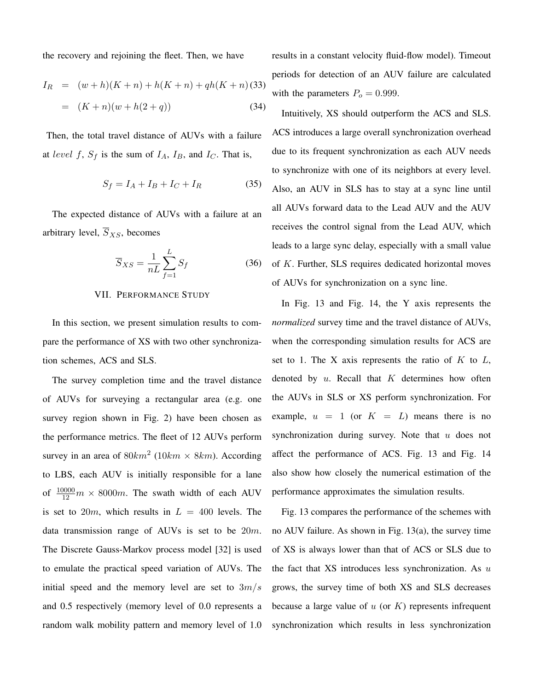the recovery and rejoining the fleet. Then, we have

$$
I_R = (w+h)(K+n) + h(K+n) + qh(K+n)
$$
 (33)  
=  $(K+n)(w+h(2+q))$  (34)

Then, the total travel distance of AUVs with a failure at level f,  $S_f$  is the sum of  $I_A$ ,  $I_B$ , and  $I_C$ . That is,

$$
S_f = I_A + I_B + I_C + I_R \tag{35}
$$

The expected distance of AUVs with a failure at an arbitrary level,  $\overline{S}_{XS}$ , becomes

$$
\overline{S}_{XS} = \frac{1}{nL} \sum_{f=1}^{L} S_f
$$
 (36)

## VII. PERFORMANCE STUDY

In this section, we present simulation results to compare the performance of XS with two other synchronization schemes, ACS and SLS.

The survey completion time and the travel distance of AUVs for surveying a rectangular area (e.g. one survey region shown in Fig. 2) have been chosen as the performance metrics. The fleet of 12 AUVs perform survey in an area of  $80km^2$  ( $10km \times 8km$ ). According to LBS, each AUV is initially responsible for a lane of  $\frac{10000}{12}m \times 8000m$ . The swath width of each AUV is set to  $20m$ , which results in  $L = 400$  levels. The data transmission range of AUVs is set to be 20m. The Discrete Gauss-Markov process model [32] is used to emulate the practical speed variation of AUVs. The initial speed and the memory level are set to  $3m/s$ and 0.5 respectively (memory level of 0.0 represents a random walk mobility pattern and memory level of 1.0 results in a constant velocity fluid-flow model). Timeout periods for detection of an AUV failure are calculated with the parameters  $P_o = 0.999$ .

Intuitively, XS should outperform the ACS and SLS. ACS introduces a large overall synchronization overhead due to its frequent synchronization as each AUV needs to synchronize with one of its neighbors at every level. Also, an AUV in SLS has to stay at a sync line until all AUVs forward data to the Lead AUV and the AUV receives the control signal from the Lead AUV, which leads to a large sync delay, especially with a small value of K. Further, SLS requires dedicated horizontal moves of AUVs for synchronization on a sync line.

In Fig. 13 and Fig. 14, the Y axis represents the *normalized* survey time and the travel distance of AUVs, when the corresponding simulation results for ACS are set to 1. The X axis represents the ratio of  $K$  to  $L$ , denoted by  $u$ . Recall that  $K$  determines how often the AUVs in SLS or XS perform synchronization. For example,  $u = 1$  (or  $K = L$ ) means there is no synchronization during survey. Note that  $u$  does not affect the performance of ACS. Fig. 13 and Fig. 14 also show how closely the numerical estimation of the performance approximates the simulation results.

Fig. 13 compares the performance of the schemes with no AUV failure. As shown in Fig. 13(a), the survey time of XS is always lower than that of ACS or SLS due to the fact that  $XS$  introduces less synchronization. As  $u$ grows, the survey time of both XS and SLS decreases because a large value of  $u$  (or  $K$ ) represents infrequent synchronization which results in less synchronization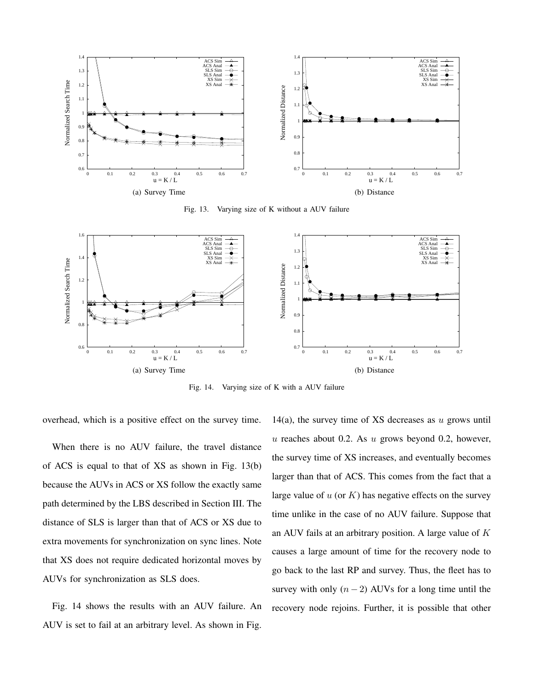

Fig. 13. Varying size of K without a AUV failure



Fig. 14. Varying size of K with a AUV failure

overhead, which is a positive effect on the survey time.

When there is no AUV failure, the travel distance of ACS is equal to that of XS as shown in Fig. 13(b) because the AUVs in ACS or XS follow the exactly same path determined by the LBS described in Section III. The distance of SLS is larger than that of ACS or XS due to extra movements for synchronization on sync lines. Note that XS does not require dedicated horizontal moves by AUVs for synchronization as SLS does.

Fig. 14 shows the results with an AUV failure. An AUV is set to fail at an arbitrary level. As shown in Fig.

14(a), the survey time of XS decreases as  $u$  grows until u reaches about 0.2. As  $u$  grows beyond 0.2, however, the survey time of XS increases, and eventually becomes larger than that of ACS. This comes from the fact that a large value of  $u$  (or  $K$ ) has negative effects on the survey time unlike in the case of no AUV failure. Suppose that an AUV fails at an arbitrary position. A large value of K causes a large amount of time for the recovery node to go back to the last RP and survey. Thus, the fleet has to survey with only  $(n - 2)$  AUVs for a long time until the recovery node rejoins. Further, it is possible that other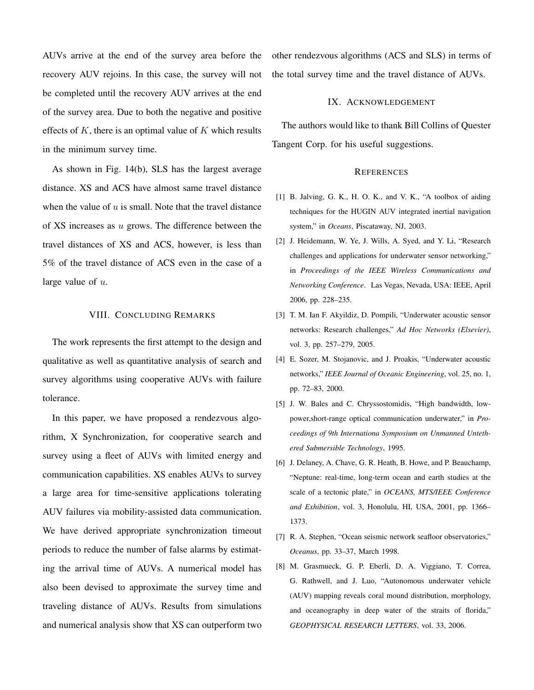AUVs arrive at the end of the survey area before the recovery AUV rejoins. In this case, the survey will not be completed until the recovery AUV arrives at the end of the survey area. Due to both the negative and positive effects of  $K$ , there is an optimal value of  $K$  which results in the minimum survey time.

As shown in Fig. 14(b), SLS has the largest average distance. XS and ACS have almost same travel distance when the value of  $u$  is small. Note that the travel distance of  $XS$  increases as  $u$  grows. The difference between the travel distances of XS and ACS, however, is less than 5% of the travel distance of ACS even in the case of a large value of  $u$ .

### VIII. CONCLUDING REMARKS

The work represents the first attempt to the design and qualitative as well as quantitative analysis of search and survey algorithms using cooperative AUVs with failure tolerance.

In this paper, we have proposed a rendezvous algorithm, X Synchronization, for cooperative search and survey using a fleet of AUVs with limited energy and communication capabilities. XS enables AUVs to survey a large area for time-sensitive applications tolerating AUV failures via mobility-assisted data communication. We have derived appropriate synchronization timeout periods to reduce the number of false alarms by estimating the arrival time of AUVs. A numerical model has also been devised to approximate the survey time and traveling distance of AUVs. Results from simulations and numerical analysis show that XS can outperform two other rendezvous algorithms (ACS and SLS) in terms of the total survey time and the travel distance of AUVs.

### IX. ACKNOWLEDGEMENT

The authors would like to thank Bill Collins of Quester Tangent Corp. for his useful suggestions.

#### **REFERENCES**

- [1] B. Jalving, G. K., H. O. K., and V. K., "A toolbox of aiding techniques for the HUGIN AUV integrated inertial navigation system," in *Oceans*, Piscataway, NJ, 2003.
- [2] J. Heidemann, W. Ye, J. Wills, A. Syed, and Y. Li, "Research challenges and applications for underwater sensor networking," in *Proceedings of the IEEE Wireless Communications and Networking Conference*. Las Vegas, Nevada, USA: IEEE, April 2006, pp. 228–235.
- [3] T. M. Ian F. Akyildiz, D. Pompili, "Underwater acoustic sensor networks: Research challenges," *Ad Hoc Networks (Elsevier)*, vol. 3, pp. 257–279, 2005.
- [4] E. Sozer, M. Stojanovic, and J. Proakis, "Underwater acoustic networks," *IEEE Journal of Oceanic Engineering*, vol. 25, no. 1, pp. 72–83, 2000.
- [5] J. W. Bales and C. Chryssostomidis, "High bandwidth, lowpower,short-range optical communication underwater," in *Proceedings of 9th Internationa Symposium on Unmanned Untethered Submersible Technology*, 1995.
- [6] J. Delaney, A. Chave, G. R. Heath, B. Howe, and P. Beauchamp, "Neptune: real-time, long-term ocean and earth studies at the scale of a tectonic plate," in *OCEANS, MTS/IEEE Conference and Exhibition*, vol. 3, Honolulu, HI, USA, 2001, pp. 1366– 1373.
- [7] R. A. Stephen, "Ocean seismic network seafloor observatories," *Oceanus*, pp. 33–37, March 1998.
- [8] M. Grasmueck, G. P. Eberli, D. A. Viggiano, T. Correa, G. Rathwell, and J. Luo, "Autonomous underwater vehicle (AUV) mapping reveals coral mound distribution, morphology, and oceanography in deep water of the straits of florida," *GEOPHYSICAL RESEARCH LETTERS*, vol. 33, 2006.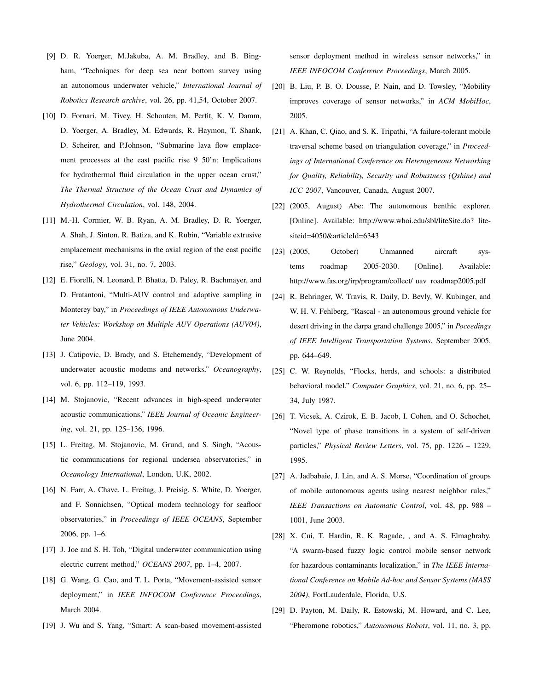- [9] D. R. Yoerger, M.Jakuba, A. M. Bradley, and B. Bingham, "Techniques for deep sea near bottom survey using an autonomous underwater vehicle," *International Journal of Robotics Research archive*, vol. 26, pp. 41,54, October 2007.
- [10] D. Fornari, M. Tivey, H. Schouten, M. Perfit, K. V. Damm, D. Yoerger, A. Bradley, M. Edwards, R. Haymon, T. Shank, D. Scheirer, and P.Johnson, "Submarine lava flow emplacement processes at the east pacific rise 9 50'n: Implications for hydrothermal fluid circulation in the upper ocean crust," *The Thermal Structure of the Ocean Crust and Dynamics of Hydrothermal Circulation*, vol. 148, 2004.
- [11] M.-H. Cormier, W. B. Ryan, A. M. Bradley, D. R. Yoerger, A. Shah, J. Sinton, R. Batiza, and K. Rubin, "Variable extrusive emplacement mechanisms in the axial region of the east pacific rise," *Geology*, vol. 31, no. 7, 2003.
- [12] E. Fiorelli, N. Leonard, P. Bhatta, D. Paley, R. Bachmayer, and D. Fratantoni, "Multi-AUV control and adaptive sampling in Monterey bay," in *Proceedings of IEEE Autonomous Underwater Vehicles: Workshop on Multiple AUV Operations (AUV04)*, June 2004.
- [13] J. Catipovic, D. Brady, and S. Etchemendy, "Development of underwater acoustic modems and networks," *Oceanography*, vol. 6, pp. 112–119, 1993.
- [14] M. Stojanovic, "Recent advances in high-speed underwater acoustic communications," *IEEE Journal of Oceanic Engineering*, vol. 21, pp. 125–136, 1996.
- [15] L. Freitag, M. Stojanovic, M. Grund, and S. Singh, "Acoustic communications for regional undersea observatories," in *Oceanology International*, London, U.K, 2002.
- [16] N. Farr, A. Chave, L. Freitag, J. Preisig, S. White, D. Yoerger, and F. Sonnichsen, "Optical modem technology for seafloor observatories," in *Proceedings of IEEE OCEANS*, September 2006, pp. 1–6.
- [17] J. Joe and S. H. Toh, "Digital underwater communication using electric current method," *OCEANS 2007*, pp. 1–4, 2007.
- [18] G. Wang, G. Cao, and T. L. Porta, "Movement-assisted sensor deployment," in *IEEE INFOCOM Conference Proceedings*, March 2004.
- [19] J. Wu and S. Yang, "Smart: A scan-based movement-assisted

sensor deployment method in wireless sensor networks," in *IEEE INFOCOM Conference Proceedings*, March 2005.

- [20] B. Liu, P. B. O. Dousse, P. Nain, and D. Towsley, "Mobility improves coverage of sensor networks," in *ACM MobiHoc*, 2005.
- [21] A. Khan, C. Qiao, and S. K. Tripathi, "A failure-tolerant mobile traversal scheme based on triangulation coverage," in *Proceedings of International Conference on Heterogeneous Networking for Quality, Reliability, Security and Robustness (Qshine) and ICC 2007*, Vancouver, Canada, August 2007.
- [22] (2005, August) Abe: The autonomous benthic explorer. [Online]. Available: http://www.whoi.edu/sbl/liteSite.do? litesiteid=4050&articleId=6343
- [23] (2005, October) Unmanned aircraft systems roadmap 2005-2030. [Online]. Available: http://www.fas.org/irp/program/collect/ uav\_roadmap2005.pdf
- [24] R. Behringer, W. Travis, R. Daily, D. Bevly, W. Kubinger, and W. H. V. Fehlberg, "Rascal - an autonomous ground vehicle for desert driving in the darpa grand challenge 2005," in *Poceedings of IEEE Intelligent Transportation Systems*, September 2005, pp. 644–649.
- [25] C. W. Reynolds, "Flocks, herds, and schools: a distributed behavioral model," *Computer Graphics*, vol. 21, no. 6, pp. 25– 34, July 1987.
- [26] T. Vicsek, A. Czirok, E. B. Jacob, I. Cohen, and O. Schochet, "Novel type of phase transitions in a system of self-driven particles," *Physical Review Letters*, vol. 75, pp. 1226 – 1229, 1995.
- [27] A. Jadbabaie, J. Lin, and A. S. Morse, "Coordination of groups of mobile autonomous agents using nearest neighbor rules," *IEEE Transactions on Automatic Control*, vol. 48, pp. 988 – 1001, June 2003.
- [28] X. Cui, T. Hardin, R. K. Ragade, , and A. S. Elmaghraby, "A swarm-based fuzzy logic control mobile sensor network for hazardous contaminants localization," in *The IEEE International Conference on Mobile Ad-hoc and Sensor Systems (MASS 2004)*, FortLauderdale, Florida, U.S.
- [29] D. Payton, M. Daily, R. Estowski, M. Howard, and C. Lee, "Pheromone robotics," *Autonomous Robots*, vol. 11, no. 3, pp.